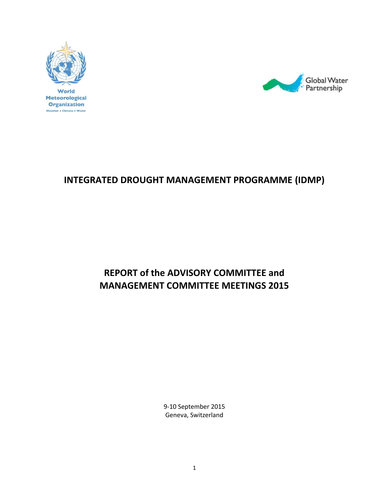



## **INTEGRATED DROUGHT MANAGEMENT PROGRAMME (IDMP)**

# **REPORT of the ADVISORY COMMITTEE and MANAGEMENT COMMITTEE MEETINGS 2015**

9-10 September 2015 Geneva, Switzerland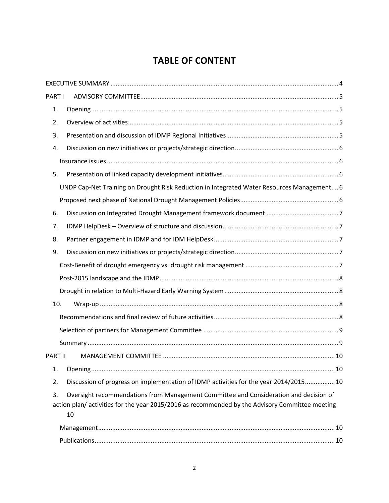## **TABLE OF CONTENT**

| PART I  |                                                                                                                                                                                                |
|---------|------------------------------------------------------------------------------------------------------------------------------------------------------------------------------------------------|
| 1.      |                                                                                                                                                                                                |
| 2.      |                                                                                                                                                                                                |
| 3.      |                                                                                                                                                                                                |
| 4.      |                                                                                                                                                                                                |
|         |                                                                                                                                                                                                |
| 5.      |                                                                                                                                                                                                |
|         | UNDP Cap-Net Training on Drought Risk Reduction in Integrated Water Resources Management 6                                                                                                     |
|         |                                                                                                                                                                                                |
| 6.      |                                                                                                                                                                                                |
| 7.      |                                                                                                                                                                                                |
| 8.      |                                                                                                                                                                                                |
| 9.      |                                                                                                                                                                                                |
|         |                                                                                                                                                                                                |
|         |                                                                                                                                                                                                |
|         |                                                                                                                                                                                                |
| 10.     |                                                                                                                                                                                                |
|         |                                                                                                                                                                                                |
|         |                                                                                                                                                                                                |
|         |                                                                                                                                                                                                |
| PART II |                                                                                                                                                                                                |
| 1.      |                                                                                                                                                                                                |
| 2.      | Discussion of progress on implementation of IDMP activities for the year 2014/2015 10                                                                                                          |
| 3.      | Oversight recommendations from Management Committee and Consideration and decision of<br>action plan/ activities for the year 2015/2016 as recommended by the Advisory Committee meeting<br>10 |
|         |                                                                                                                                                                                                |
|         |                                                                                                                                                                                                |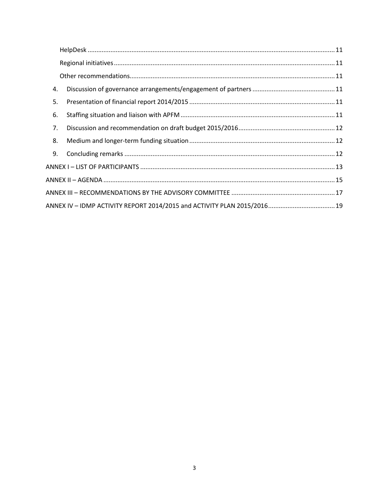| 4. |                                                                          |  |
|----|--------------------------------------------------------------------------|--|
| 5. |                                                                          |  |
| 6. |                                                                          |  |
| 7. |                                                                          |  |
| 8. |                                                                          |  |
| 9. |                                                                          |  |
|    |                                                                          |  |
|    |                                                                          |  |
|    |                                                                          |  |
|    | ANNEX IV - IDMP ACTIVITY REPORT 2014/2015 and ACTIVITY PLAN 2015/2016 19 |  |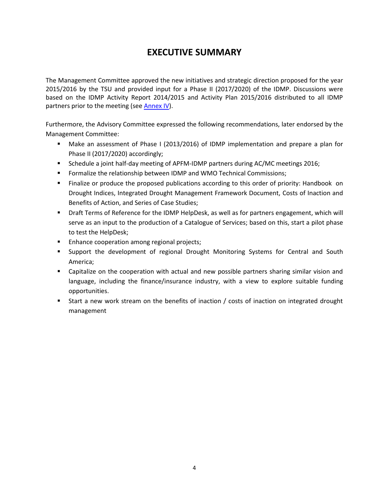### **EXECUTIVE SUMMARY**

<span id="page-3-0"></span>The Management Committee approved the new initiatives and strategic direction proposed for the year 2015/2016 by the TSU and provided input for a Phase II (2017/2020) of the IDMP. Discussions were based on the IDMP Activity Report 2014/2015 and Activity Plan 2015/2016 distributed to all IDMP partners prior to the meeting (se[e Annex IV\)](#page-18-0).

Furthermore, the Advisory Committee expressed the following recommendations, later endorsed by the Management Committee:

- Make an assessment of Phase I (2013/2016) of IDMP implementation and prepare a plan for Phase II (2017/2020) accordingly;
- **Schedule a joint half-day meeting of APFM-IDMP partners during AC/MC meetings 2016;**
- **FILT** Formalize the relationship between IDMP and WMO Technical Commissions;
- Finalize or produce the proposed publications according to this order of priority: Handbook on Drought Indices, Integrated Drought Management Framework Document, Costs of Inaction and Benefits of Action, and Series of Case Studies;
- Draft Terms of Reference for the IDMP HelpDesk, as well as for partners engagement, which will serve as an input to the production of a Catalogue of Services; based on this, start a pilot phase to test the HelpDesk;
- **Enhance cooperation among regional projects;**
- Support the development of regional Drought Monitoring Systems for Central and South America;
- **EXEC** Capitalize on the cooperation with actual and new possible partners sharing similar vision and language, including the finance/insurance industry, with a view to explore suitable funding opportunities.
- Start a new work stream on the benefits of inaction / costs of inaction on integrated drought management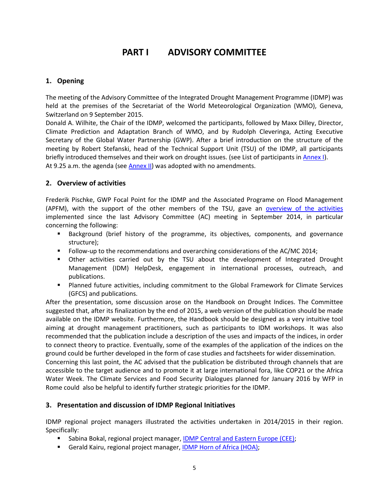### **PART I ADVISORY COMMITTEE**

#### <span id="page-4-1"></span><span id="page-4-0"></span>**1. Opening**

The meeting of the Advisory Committee of the Integrated Drought Management Programme (IDMP) was held at the premises of the Secretariat of the World Meteorological Organization (WMO), Geneva, Switzerland on 9 September 2015.

Donald A. Wilhite, the Chair of the IDMP, welcomed the participants, followed by Maxx Dilley, Director, Climate Prediction and Adaptation Branch of WMO, and by Rudolph Cleveringa, Acting Executive Secretary of the Global Water Partnership (GWP). After a brief introduction on the structure of the meeting by Robert Stefanski, head of the Technical Support Unit (TSU) of the IDMP, all participants briefly introduced themselves and their work on drought issues. (see List of participants in [Annex I\)](#page-12-0). At 9.25 a.m. the agenda (see [Annex II\)](#page-14-0) was adopted with no amendments.

#### <span id="page-4-2"></span>**2. Overview of activities**

Frederik Pischke, GWP Focal Point for the IDMP and the Associated Programe on Flood Management (APFM), with the support of the other members of the TSU, gave an [overview of the activities](http://www.droughtmanagement.info/wp-content/uploads/2015/10/ACMC2015_Presentations/01_IDMPAC2015_Overview.pdf) implemented since the last Advisory Committee (AC) meeting in September 2014, in particular concerning the following:

- Background (brief history of the programme, its objectives, components, and governance structure);
- **Follow-up to the recommendations and overarching considerations of the AC/MC 2014;**
- Other activities carried out by the TSU about the development of Integrated Drought Management (IDM) HelpDesk, engagement in international processes, outreach, and publications.
- Planned future activities, including commitment to the Global Framework for Climate Services (GFCS) and publications.

After the presentation, some discussion arose on the Handbook on Drought Indices. The Committee suggested that, after its finalization by the end of 2015, a web version of the publication should be made available on the IDMP website. Furthermore, the Handbook should be designed as a very intuitive tool aiming at drought management practitioners, such as participants to IDM workshops. It was also recommended that the publication include a description of the uses and impacts of the indices, in order to connect theory to practice. Eventually, some of the examples of the application of the indices on the ground could be further developed in the form of case studies and factsheets for wider dissemination.

Concerning this last point, the AC advised that the publication be distributed through channels that are accessible to the target audience and to promote it at large international fora, like COP21 or the Africa Water Week. The Climate Services and Food Security Dialogues planned for January 2016 by WFP in Rome could also be helpful to identify further strategic priorities for the IDMP.

#### <span id="page-4-3"></span>**3. Presentation and discussion of IDMP Regional Initiatives**

IDMP regional project managers illustrated the activities undertaken in 2014/2015 in their region. Specifically:

- **Sabina Bokal, regional project manager, [IDMP Central and Eastern Europe \(CEE\);](http://www.droughtmanagement.info/wp-content/uploads/2015/10/ACMC2015_Presentations/02_IDMPAC2015_IDMPCEE.pdf)**
- Gerald Kairu, regional project manager[, IDMP Horn of Africa \(HOA\);](http://www.droughtmanagement.info/wp-content/uploads/2015/10/ACMC2015_Presentations/03_IDMPAC2015_IDMPHOA.pdf)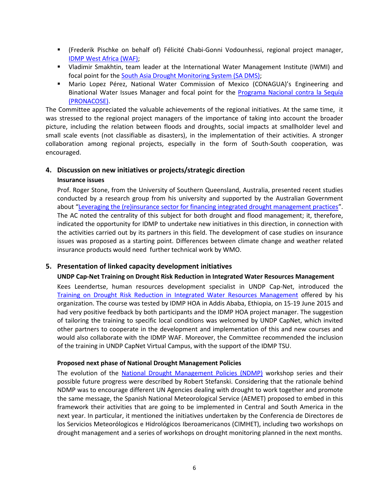- (Frederik Pischke on behalf of) Félicité Chabi-Gonni Vodounhessi, regional project manager, [IDMP West Africa \(WAF\);](http://www.droughtmanagement.info/wp-content/uploads/2015/10/ACMC2015_Presentations/04_IDMPAC2015_IDMPWAF.pdf)
- Vladimir Smakhtin, team leader at the International Water Management Institute (IWMI) and focal point for the [South Asia Drought Monitoring System \(SA DMS\);](http://www.droughtmanagement.info/wp-content/uploads/2015/10/ACMC2015_Presentations/06_IDMPAC2015_SADMS.pdf)
- Mario Lopez Pérez, National Water Commission of Mexico (CONAGUA)'s Engineering and Binational Water Issues Manager and focal point for the [Programa Nacional contra la Sequía](http://www.droughtmanagement.info/wp-content/uploads/2015/10/ACMC2015_Presentations/05_IDMPAC2015_PRONACOSE.pdf)  [\(PRONACOSE\).](http://www.droughtmanagement.info/wp-content/uploads/2015/10/ACMC2015_Presentations/05_IDMPAC2015_PRONACOSE.pdf)

The Committee appreciated the valuable achievements of the regional initiatives. At the same time, it was stressed to the regional project managers of the importance of taking into account the broader picture, including the relation between floods and droughts, social impacts at smallholder level and small scale events (not classifiable as disasters), in the implementation of their activities. A stronger collaboration among regional projects, especially in the form of South-South cooperation, was encouraged.

#### <span id="page-5-1"></span><span id="page-5-0"></span>**4. Discussion on new initiatives or projects/strategic direction**

#### **Insurance issues**

Prof. Roger Stone, from the University of Southern Queensland, Australia, presented recent studies conducted by a research group from his university and supported by the Australian Government about "[Leveraging the \(re\)insurance sector for financing integrated drought management practices](http://www.droughtmanagement.info/wp-content/uploads/2015/10/ACMC2015_Presentations/11_IDMPAC2015_Insurance-Reinsurance.pdf)". The AC noted the centrality of this subject for both drought and flood management; it, therefore, indicated the opportunity for IDMP to undertake new initiatives in this direction, in connection with the activities carried out by its partners in this field. The development of case studies on insurance issues was proposed as a starting point. Differences between climate change and weather related insurance products would need further technical work by WMO.

#### <span id="page-5-3"></span><span id="page-5-2"></span>**5. Presentation of linked capacity development initiatives**

#### **UNDP Cap-Net Training on Drought Risk Reduction in Integrated Water Resources Management**

Kees Leendertse, human resources development specialist in UNDP Cap-Net, introduced the [Training on Drought Risk Reduction in Integrated Water Resources Management](http://www.droughtmanagement.info/wp-content/uploads/2015/10/ACMC2015_Presentations/07_IDMPAC2015_CapNet.pdf) offered by his organization. The course was tested by IDMP HOA in Addis Ababa, Ethiopia, on 15-19 June 2015 and had very positive feedback by both participants and the IDMP HOA project manager. The suggestion of tailoring the training to specific local conditions was welcomed by UNDP CapNet, which invited other partners to cooperate in the development and implementation of this and new courses and would also collaborate with the IDMP WAF. Moreover, the Committee recommended the inclusion of the training in UNDP CapNet Virtual Campus, with the support of the IDMP TSU.

#### <span id="page-5-4"></span>**Proposed next phase of National Drought Management Policies**

The evolution of the [National Drought Management Policies \(NDMP\)](http://www.droughtmanagement.info/wp-content/uploads/2015/10/ACMC2015_Presentations/08_IDMPAC2015_NDMP.pdf) workshop series and their possible future progress were described by Robert Stefanski. Considering that the rationale behind NDMP was to encourage different UN Agencies dealing with drought to work together and promote the same message, the Spanish National Meteorological Service (AEMET) proposed to embed in this framework their activities that are going to be implemented in Central and South America in the next year. In particular, it mentioned the initiatives undertaken by the Conferencia de Directores de los Servicios Meteorólogicos e Hidrológicos Iberoamericanos (CIMHET), including two workshops on drought management and a series of workshops on drought monitoring planned in the next months.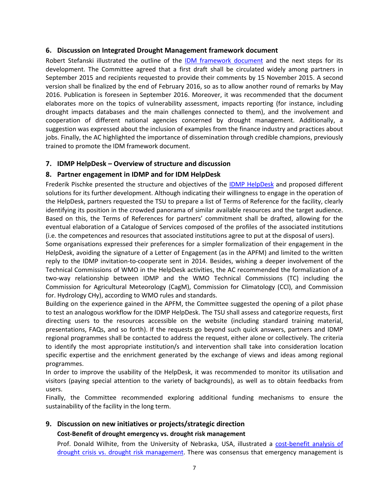#### <span id="page-6-0"></span>**6. Discussion on Integrated Drought Management framework document**

Robert Stefanski illustrated the outline of the [IDM framework document](http://www.droughtmanagement.info/wp-content/uploads/2015/10/ACMC2015_Presentations/09_IDMPAC2015_IDM_Framework_Document.pdf) and the next steps for its development. The Committee agreed that a first draft shall be circulated widely among partners in September 2015 and recipients requested to provide their comments by 15 November 2015. A second version shall be finalized by the end of February 2016, so as to allow another round of remarks by May 2016. Publication is foreseen in September 2016. Moreover, it was recommended that the document elaborates more on the topics of vulnerability assessment, impacts reporting (for instance, including drought impacts databases and the main challenges connected to them), and the involvement and cooperation of different national agencies concerned by drought management. Additionally, a suggestion was expressed about the inclusion of examples from the finance industry and practices about jobs. Finally, the AC highlighted the importance of dissemination through credible champions, previously trained to promote the IDM framework document.

#### <span id="page-6-1"></span>**7. IDMP HelpDesk – Overview of structure and discussion**

#### <span id="page-6-2"></span>**8. Partner engagement in IDMP and for IDM HelpDesk**

Frederik Pischke presented the structure and objectives of the **IDMP [HelpDesk](http://www.droughtmanagement.info/wp-content/uploads/2015/10/ACMC2015_Presentations/10_IDMPAC2015_IDM_HelpDesk.pdf)** and proposed different solutions for its further development. Although indicating their willingness to engage in the operation of the HelpDesk, partners requested the TSU to prepare a list of Terms of Reference for the facility, clearly identifying its position in the crowded panorama of similar available resources and the target audience. Based on this, the Terms of References for partners' commitment shall be drafted, allowing for the eventual elaboration of a Catalogue of Services composed of the profiles of the associated institutions (i.e. the competences and resources that associated institutions agree to put at the disposal of users).

Some organisations expressed their preferences for a simpler formalization of their engagement in the HelpDesk, avoiding the signature of a Letter of Engagement (as in the APFM) and limited to the written reply to the IDMP invitation-to-cooperate sent in 2014. Besides, wishing a deeper involvement of the Technical Commissions of WMO in the HelpDesk activities, the AC recommended the formalization of a two-way relationship between IDMP and the WMO Technical Commissions (TC) including the Commission for Agricultural Meteorology (CagM), Commission for Climatology (CCl), and Commission for. Hydrology CHy), according to WMO rules and standards.

Building on the experience gained in the APFM, the Committee suggested the opening of a pilot phase to test an analogous workflow for the IDMP HelpDesk. The TSU shall assess and categorize requests, first directing users to the resources accessible on the website (including standard training material, presentations, FAQs, and so forth). If the requests go beyond such quick answers, partners and IDMP regional programmes shall be contacted to address the request, either alone or collectively. The criteria to identify the most appropriate institution/s and intervention shall take into consideration location specific expertise and the enrichment generated by the exchange of views and ideas among regional programmes.

In order to improve the usability of the HelpDesk, it was recommended to monitor its utilisation and visitors (paying special attention to the variety of backgrounds), as well as to obtain feedbacks from users.

Finally, the Committee recommended exploring additional funding mechanisms to ensure the sustainability of the facility in the long term.

#### <span id="page-6-4"></span><span id="page-6-3"></span>**9. Discussion on new initiatives or projects/strategic direction**

#### **Cost-Benefit of drought emergency vs. drought risk management**

Prof. Donald Wilhite, from the University of Nebraska, USA, illustrated a [cost-benefit analysis of](http://www.droughtmanagement.info/wp-content/uploads/2015/10/ACMC2015_Presentations/12_IDMPAC2015_CBA_Crisis-vs-Risk_Management.pdf)  [drought crisis vs. drought](http://www.droughtmanagement.info/wp-content/uploads/2015/10/ACMC2015_Presentations/12_IDMPAC2015_CBA_Crisis-vs-Risk_Management.pdf) risk management. There was consensus that emergency management is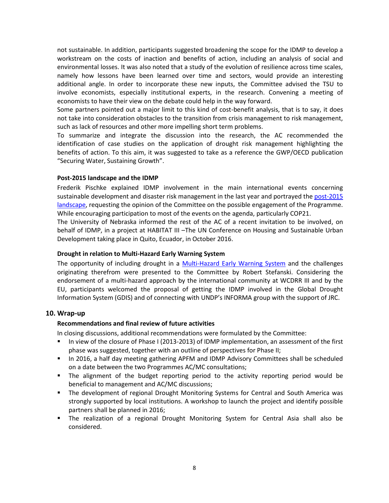not sustainable. In addition, participants suggested broadening the scope for the IDMP to develop a workstream on the costs of inaction and benefits of action, including an analysis of social and environmental losses. It was also noted that a study of the evolution of resilience across time scales, namely how lessons have been learned over time and sectors, would provide an interesting additional angle. In order to incorporate these new inputs, the Committee advised the TSU to involve economists, especially institutional experts, in the research. Convening a meeting of economists to have their view on the debate could help in the way forward.

Some partners pointed out a major limit to this kind of cost-benefit analysis, that is to say, it does not take into consideration obstacles to the transition from crisis management to risk management, such as lack of resources and other more impelling short term problems.

To summarize and integrate the discussion into the research, the AC recommended the identification of case studies on the application of drought risk management highlighting the benefits of action. To this aim, it was suggested to take as a reference the GWP/OECD publication "Securing Water, Sustaining Growth".

#### <span id="page-7-0"></span>**Post-2015 landscape and the IDMP**

Frederik Pischke explained IDMP involvement in the main international events concerning sustainable development and disaster risk management in the last year and portrayed the [post-2015](http://www.droughtmanagement.info/wp-content/uploads/2015/10/ACMC2015_Presentations/13_IDMPAC2015_Post-2015.pdf)  [landscape,](http://www.droughtmanagement.info/wp-content/uploads/2015/10/ACMC2015_Presentations/13_IDMPAC2015_Post-2015.pdf) requesting the opinion of the Committee on the possible engagement of the Programme. While encouraging participation to most of the events on the agenda, particularly COP21.

The University of Nebraska informed the rest of the AC of a recent invitation to be involved, on behalf of IDMP, in a project at HABITAT III –The UN Conference on Housing and Sustainable Urban Development taking place in Quito, Ecuador, in October 2016.

#### <span id="page-7-1"></span>**Drought in relation to Multi-Hazard Early Warning System**

The opportunity of including drought in a [Multi-Hazard Early Warning System](http://www.droughtmanagement.info/wp-content/uploads/2015/10/ACMC2015_Presentations/14_IDMPAC2015_MHEWS.pdf) and the challenges originating therefrom were presented to the Committee by Robert Stefanski. Considering the endorsement of a multi-hazard approach by the international community at WCDRR III and by the EU, participants welcomed the proposal of getting the IDMP involved in the Global Drought Information System (GDIS) and of connecting with UNDP's INFORMA group with the support of JRC.

#### <span id="page-7-3"></span><span id="page-7-2"></span>**10. Wrap-up**

#### **Recommendations and final review of future activities**

In closing discussions, additional recommendations were formulated by the Committee:

- In view of the closure of Phase I (2013-2013) of IDMP implementation, an assessment of the first phase was suggested, together with an outline of perspectives for Phase II;
- **IF** In 2016, a half day meeting gathering APFM and IDMP Advisory Committees shall be scheduled on a date between the two Programmes AC/MC consultations;
- The alignment of the budget reporting period to the activity reporting period would be beneficial to management and AC/MC discussions;
- **The development of regional Drought Monitoring Systems for Central and South America was** strongly supported by local institutions. A workshop to launch the project and identify possible partners shall be planned in 2016;
- The realization of a regional Drought Monitoring System for Central Asia shall also be considered.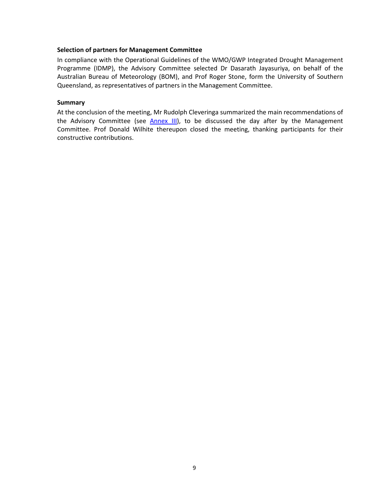#### <span id="page-8-0"></span>**Selection of partners for Management Committee**

In compliance with the Operational Guidelines of the WMO/GWP Integrated Drought Management Programme (IDMP), the Advisory Committee selected Dr Dasarath Jayasuriya, on behalf of the Australian Bureau of Meteorology (BOM), and Prof Roger Stone, form the University of Southern Queensland, as representatives of partners in the Management Committee.

#### <span id="page-8-1"></span>**Summary**

At the conclusion of the meeting, Mr Rudolph Cleveringa summarized the main recommendations of the Advisory Committee (see **[Annex III\)](#page-16-0)**, to be discussed the day after by the Management Committee. Prof Donald Wilhite thereupon closed the meeting, thanking participants for their constructive contributions.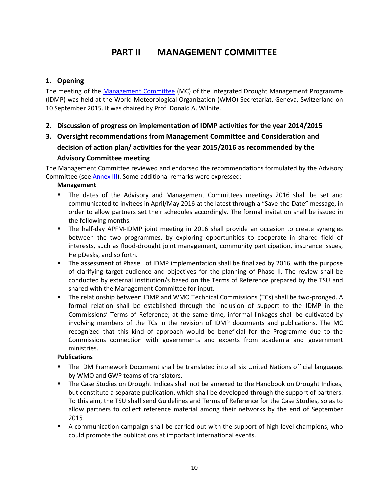### **PART II MANAGEMENT COMMITTEE**

#### <span id="page-9-1"></span><span id="page-9-0"></span>**1. Opening**

The meeting of the [Management Committee](http://www.droughtmanagement.info/wp-content/uploads/2015/10/ACMC2015_Presentations/15_IDMPMC2015.pdf) (MC) of the Integrated Drought Management Programme (IDMP) was held at the World Meteorological Organization (WMO) Secretariat, Geneva, Switzerland on 10 September 2015. It was chaired by Prof. Donald A. Wilhite.

#### <span id="page-9-2"></span>**2. Discussion of progress on implementation of IDMP activities for the year 2014/2015**

### <span id="page-9-3"></span>**3. Oversight recommendations from Management Committee and Consideration and decision of action plan/ activities for the year 2015/2016 as recommended by the Advisory Committee meeting**

The Management Committee reviewed and endorsed the recommendations formulated by the Advisory Committee (se[e Annex III\)](#page-16-0). Some additional remarks were expressed:

#### <span id="page-9-4"></span>**Management**

- The dates of the Advisory and Management Committees meetings 2016 shall be set and communicated to invitees in April/May 2016 at the latest through a "Save-the-Date" message, in order to allow partners set their schedules accordingly. The formal invitation shall be issued in the following months.
- The half-day APFM-IDMP joint meeting in 2016 shall provide an occasion to create synergies between the two programmes, by exploring opportunities to cooperate in shared field of interests, such as flood-drought joint management, community participation, insurance issues, HelpDesks, and so forth.
- **The assessment of Phase I of IDMP implementation shall be finalized by 2016, with the purpose** of clarifying target audience and objectives for the planning of Phase II. The review shall be conducted by external institution/s based on the Terms of Reference prepared by the TSU and shared with the Management Committee for input.
- The relationship between IDMP and WMO Technical Commissions (TCs) shall be two-pronged. A formal relation shall be established through the inclusion of support to the IDMP in the Commissions' Terms of Reference; at the same time, informal linkages shall be cultivated by involving members of the TCs in the revision of IDMP documents and publications. The MC recognized that this kind of approach would be beneficial for the Programme due to the Commissions connection with governments and experts from academia and government ministries.

#### <span id="page-9-5"></span>**Publications**

- The IDM Framework Document shall be translated into all six United Nations official languages by WMO and GWP teams of translators.
- **The Case Studies on Drought Indices shall not be annexed to the Handbook on Drought Indices,** but constitute a separate publication, which shall be developed through the support of partners. To this aim, the TSU shall send Guidelines and Terms of Reference for the Case Studies, so as to allow partners to collect reference material among their networks by the end of September 2015.
- A communication campaign shall be carried out with the support of high-level champions, who could promote the publications at important international events.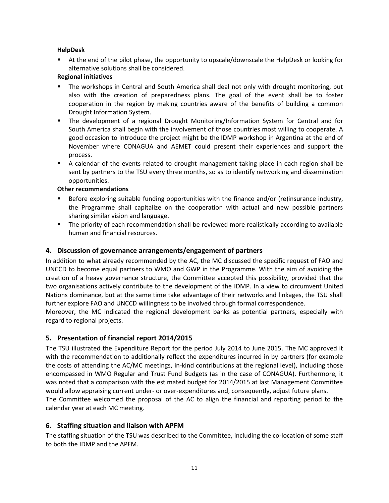#### <span id="page-10-0"></span>**HelpDesk**

 At the end of the pilot phase, the opportunity to upscale/downscale the HelpDesk or looking for alternative solutions shall be considered.

#### <span id="page-10-1"></span>**Regional initiatives**

- The workshops in Central and South America shall deal not only with drought monitoring, but also with the creation of preparedness plans. The goal of the event shall be to foster cooperation in the region by making countries aware of the benefits of building a common Drought Information System.
- **The development of a regional Drought Monitoring/Information System for Central and for** South America shall begin with the involvement of those countries most willing to cooperate. A good occasion to introduce the project might be the IDMP workshop in Argentina at the end of November where CONAGUA and AEMET could present their experiences and support the process.
- A calendar of the events related to drought management taking place in each region shall be sent by partners to the TSU every three months, so as to identify networking and dissemination opportunities.

#### <span id="page-10-2"></span>**Other recommendations**

- Before exploring suitable funding opportunities with the finance and/or (re)insurance industry, the Programme shall capitalize on the cooperation with actual and new possible partners sharing similar vision and language.
- The priority of each recommendation shall be reviewed more realistically according to available human and financial resources.

#### <span id="page-10-3"></span>**4. Discussion of governance arrangements/engagement of partners**

In addition to what already recommended by the AC, the MC discussed the specific request of FAO and UNCCD to become equal partners to WMO and GWP in the Programme. With the aim of avoiding the creation of a heavy governance structure, the Committee accepted this possibility, provided that the two organisations actively contribute to the development of the IDMP. In a view to circumvent United Nations dominance, but at the same time take advantage of their networks and linkages, the TSU shall further explore FAO and UNCCD willingness to be involved through formal correspondence.

Moreover, the MC indicated the regional development banks as potential partners, especially with regard to regional projects.

#### <span id="page-10-4"></span>**5. Presentation of financial report 2014/2015**

The TSU illustrated the Expenditure Report for the period July 2014 to June 2015. The MC approved it with the recommendation to additionally reflect the expenditures incurred in by partners (for example the costs of attending the AC/MC meetings, in-kind contributions at the regional level), including those encompassed in WMO Regular and Trust Fund Budgets (as in the case of CONAGUA). Furthermore, it was noted that a comparison with the estimated budget for 2014/2015 at last Management Committee would allow appraising current under- or over-expenditures and, consequently, adjust future plans. The Committee welcomed the proposal of the AC to align the financial and reporting period to the calendar year at each MC meeting.

#### <span id="page-10-5"></span>**6. Staffing situation and liaison with APFM**

The staffing situation of the TSU was described to the Committee, including the co-location of some staff to both the IDMP and the APFM.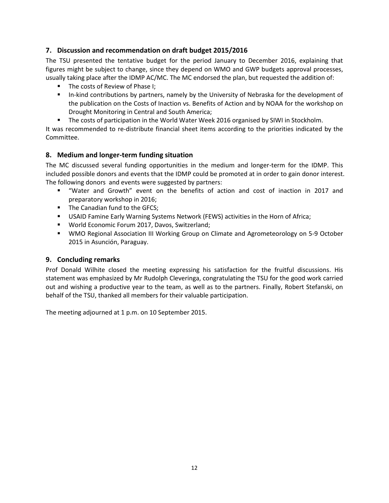#### <span id="page-11-0"></span>**7. Discussion and recommendation on draft budget 2015/2016**

The TSU presented the tentative budget for the period January to December 2016, explaining that figures might be subject to change, since they depend on WMO and GWP budgets approval processes, usually taking place after the IDMP AC/MC. The MC endorsed the plan, but requested the addition of:

- The costs of Review of Phase I;
- In-kind contributions by partners, namely by the University of Nebraska for the development of the publication on the Costs of Inaction vs. Benefits of Action and by NOAA for the workshop on Drought Monitoring in Central and South America;
- The costs of participation in the World Water Week 2016 organised by SIWI in Stockholm.

It was recommended to re-distribute financial sheet items according to the priorities indicated by the Committee.

#### <span id="page-11-1"></span>**8. Medium and longer-term funding situation**

The MC discussed several funding opportunities in the medium and longer-term for the IDMP. This included possible donors and events that the IDMP could be promoted at in order to gain donor interest. The following donors and events were suggested by partners:

- "Water and Growth" event on the benefits of action and cost of inaction in 2017 and preparatory workshop in 2016;
- **The Canadian fund to the GFCS;**
- USAID Famine Early Warning Systems Network (FEWS) activities in the Horn of Africa;
- World Economic Forum 2017, Davos, Switzerland;
- WMO Regional Association III Working Group on Climate and Agrometeorology on 5-9 October 2015 in Asunción, Paraguay.

#### <span id="page-11-2"></span>**9. Concluding remarks**

Prof Donald Wilhite closed the meeting expressing his satisfaction for the fruitful discussions. His statement was emphasized by Mr Rudolph Cleveringa, congratulating the TSU for the good work carried out and wishing a productive year to the team, as well as to the partners. Finally, Robert Stefanski, on behalf of the TSU, thanked all members for their valuable participation.

The meeting adjourned at 1 p.m. on 10 September 2015.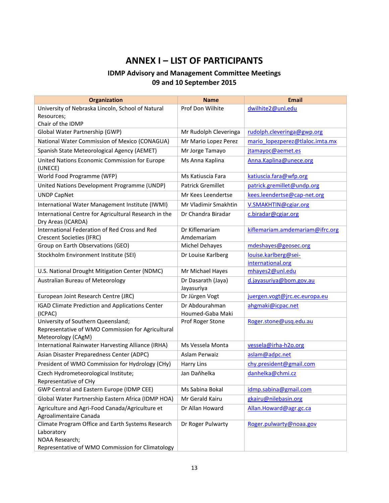### **ANNEX I – LIST OF PARTICIPANTS**

### **IDMP Advisory and Management Committee Meetings 09 and 10 September 2015**

<span id="page-12-0"></span>

| Organization                                                                                                                          | <b>Name</b>                        | <b>Email</b>                    |
|---------------------------------------------------------------------------------------------------------------------------------------|------------------------------------|---------------------------------|
| University of Nebraska Lincoln, School of Natural                                                                                     | Prof Don Wilhite                   | dwilhite2@unl.edu               |
| Resources;                                                                                                                            |                                    |                                 |
| Chair of the IDMP                                                                                                                     |                                    |                                 |
| Global Water Partnership (GWP)                                                                                                        | Mr Rudolph Cleveringa              | rudolph.cleveringa@gwp.org      |
| National Water Commission of Mexico (CONAGUA)                                                                                         | Mr Mario Lopez Perez               | mario lopezperez@tlaloc.imta.mx |
| Spanish State Meteorological Agency (AEMET)                                                                                           | Mr Jorge Tamayo                    | jtamayoc@aemet.es               |
| United Nations Economic Commission for Europe<br>(UNECE)                                                                              | Ms Anna Kaplina                    | Anna.Kaplina@unece.org          |
| World Food Programme (WFP)                                                                                                            | Ms Katiuscia Fara                  | katiuscia.fara@wfp.org          |
| United Nations Development Programme (UNDP)                                                                                           | <b>Patrick Gremillet</b>           | patrick.gremillet@undp.org      |
| <b>UNDP CapNet</b>                                                                                                                    | Mr Kees Leendertse                 | kees.leendertse@cap-net.org     |
| International Water Management Institute (IWMI)                                                                                       | Mr Vladimir Smakhtin               | V.SMAKHTIN@cgiar.org            |
| International Centre for Agricultural Research in the<br>Dry Areas (ICARDA)                                                           | Dr Chandra Biradar                 | c.biradar@cgiar.org             |
| International Federation of Red Cross and Red<br><b>Crescent Societies (IFRC)</b>                                                     | Dr Kiflemariam<br>Amdemariam       | kiflemariam.amdemariam@ifrc.org |
| Group on Earth Observations (GEO)                                                                                                     | Michel Dehayes                     | mdeshayes@geosec.org            |
| Stockholm Environment Institute (SEI)                                                                                                 | Dr Louise Karlberg                 | louise.karlberg@sei-            |
|                                                                                                                                       |                                    | international.org               |
| U.S. National Drought Mitigation Center (NDMC)                                                                                        | Mr Michael Hayes                   | mhayes2@unl.edu                 |
| Australian Bureau of Meteorology                                                                                                      | Dr Dasarath (Jaya)<br>Jayasuriya   | d.jayasuriya@bom.gov.au         |
| European Joint Research Centre (JRC)                                                                                                  | Dr Jürgen Vogt                     | juergen.vogt@jrc.ec.europa.eu   |
| IGAD Climate Prediction and Applications Center<br>(ICPAC)                                                                            | Dr Abdourahman<br>Houmed-Gaba Maki | ahgmaki@icpac.net               |
| University of Southern Queensland;<br>Representative of WMO Commission for Agricultural<br>Meteorology (CAgM)                         | Prof Roger Stone                   | Roger.stone@usq.edu.au          |
| International Rainwater Harvesting Alliance (IRHA)                                                                                    | Ms Vessela Monta                   | vessela@irha-h2o.org            |
| Asian Disaster Preparedness Center (ADPC)                                                                                             | Aslam Perwaiz                      | aslam@adpc.net                  |
| President of WMO Commission for Hydrology (CHy)                                                                                       | <b>Harry Lins</b>                  | chy.president@gmail.com         |
| Czech Hydrometeorological Institute;<br>Representative of CHy                                                                         | Jan Daňhelka                       | danhelka@chmi.cz                |
| GWP Central and Eastern Europe (IDMP CEE)                                                                                             | Ms Sabina Bokal                    | idmp.sabina@gmail.com           |
| Global Water Partnership Eastern Africa (IDMP HOA)                                                                                    | Mr Gerald Kairu                    | gkairu@nilebasin.org            |
| Agriculture and Agri-Food Canada/Agriculture et<br>Agroalimentaire Canada                                                             | Dr Allan Howard                    | Allan.Howard@agr.gc.ca          |
| Climate Program Office and Earth Systems Research<br>Laboratory<br>NOAA Research;<br>Representative of WMO Commission for Climatology | Dr Roger Pulwarty                  | Roger.pulwarty@noaa.gov         |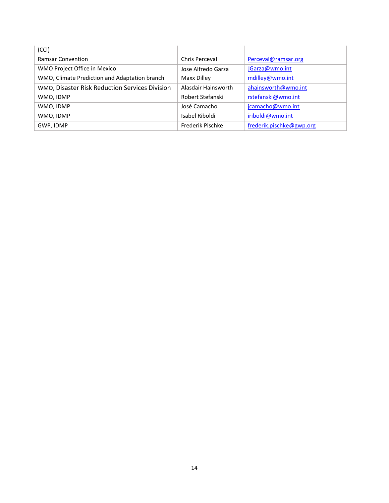| (CCI)                                          |                     |                          |
|------------------------------------------------|---------------------|--------------------------|
| <b>Ramsar Convention</b>                       | Chris Perceval      | Perceval@ramsar.org      |
| WMO Project Office in Mexico                   | Jose Alfredo Garza  | JGarza@wmo.int           |
| WMO, Climate Prediction and Adaptation branch  | Maxx Dilley         | mdilley@wmo.int          |
| WMO, Disaster Risk Reduction Services Division | Alasdair Hainsworth | ahainsworth@wmo.int      |
| WMO, IDMP                                      | Robert Stefanski    | rstefanski@wmo.int       |
| WMO, IDMP                                      | José Camacho        | jcamacho@wmo.int         |
| WMO, IDMP                                      | Isabel Riboldi      | iriboldi@wmo.int         |
| GWP, IDMP                                      | Frederik Pischke    | frederik.pischke@gwp.org |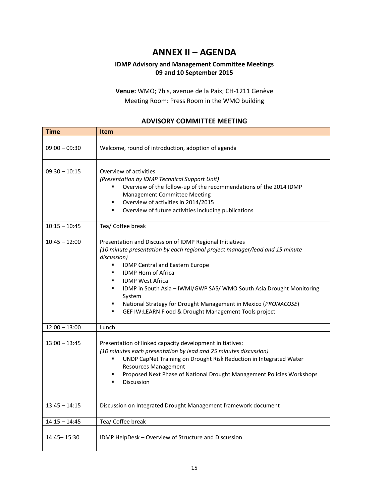### **ANNEX II – AGENDA**

#### <span id="page-14-0"></span>**IDMP Advisory and Management Committee Meetings 09 and 10 September 2015**

**Venue:** WMO; 7bis, avenue de la Paix; CH-1211 Genève Meeting Room: Press Room in the WMO building

#### **ADVISORY COMMITTEE MEETING**

| <b>Time</b>     | <b>Item</b>                                                                                                                                                                                                                                                                                                                                                                                                                                                                         |
|-----------------|-------------------------------------------------------------------------------------------------------------------------------------------------------------------------------------------------------------------------------------------------------------------------------------------------------------------------------------------------------------------------------------------------------------------------------------------------------------------------------------|
| $09:00 - 09:30$ | Welcome, round of introduction, adoption of agenda                                                                                                                                                                                                                                                                                                                                                                                                                                  |
| $09:30 - 10:15$ | Overview of activities<br>(Presentation by IDMP Technical Support Unit)<br>Overview of the follow-up of the recommendations of the 2014 IDMP<br>٠<br><b>Management Committee Meeting</b><br>Overview of activities in 2014/2015<br>Overview of future activities including publications                                                                                                                                                                                             |
| $10:15 - 10:45$ | Tea/ Coffee break                                                                                                                                                                                                                                                                                                                                                                                                                                                                   |
| $10:45 - 12:00$ | Presentation and Discussion of IDMP Regional Initiatives<br>(10 minute presentation by each regional project manager/lead and 15 minute<br>discussion)<br>٠<br>IDMP Central and Eastern Europe<br><b>IDMP Horn of Africa</b><br>٠<br><b>IDMP West Africa</b><br>IDMP in South Asia - IWMI/GWP SAS/ WMO South Asia Drought Monitoring<br>System<br>National Strategy for Drought Management in Mexico (PRONACOSE)<br>٠<br>GEF IW:LEARN Flood & Drought Management Tools project<br>٠ |
| $12:00 - 13:00$ | Lunch                                                                                                                                                                                                                                                                                                                                                                                                                                                                               |
| $13:00 - 13:45$ | Presentation of linked capacity development initiatives:<br>(10 minutes each presentation by lead and 25 minutes discussion)<br>UNDP CapNet Training on Drought Risk Reduction in Integrated Water<br>٠<br><b>Resources Management</b><br>Proposed Next Phase of National Drought Management Policies Workshops<br><b>Discussion</b>                                                                                                                                                |
| $13:45 - 14:15$ | Discussion on Integrated Drought Management framework document                                                                                                                                                                                                                                                                                                                                                                                                                      |
| $14:15 - 14:45$ | Tea/ Coffee break                                                                                                                                                                                                                                                                                                                                                                                                                                                                   |
| $14:45 - 15:30$ | IDMP HelpDesk – Overview of Structure and Discussion                                                                                                                                                                                                                                                                                                                                                                                                                                |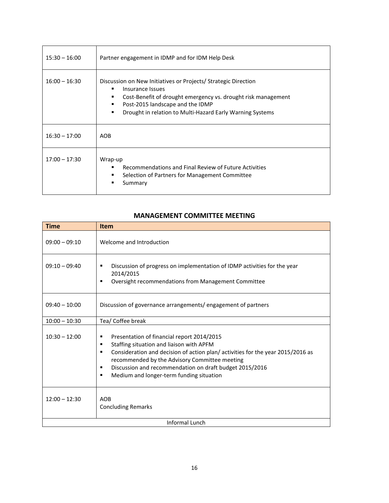| $15:30 - 16:00$ | Partner engagement in IDMP and for IDM Help Desk                                                                                                                                                                                                          |
|-----------------|-----------------------------------------------------------------------------------------------------------------------------------------------------------------------------------------------------------------------------------------------------------|
| $16:00 - 16:30$ | Discussion on New Initiatives or Projects/ Strategic Direction<br>Insurance Issues<br>Cost-Benefit of drought emergency vs. drought risk management<br>Post-2015 landscape and the IDMP<br>Drought in relation to Multi-Hazard Early Warning Systems<br>٠ |
| $16:30 - 17:00$ | <b>AOB</b>                                                                                                                                                                                                                                                |
| $17:00 - 17:30$ | Wrap-up<br>Recommendations and Final Review of Future Activities<br>Selection of Partners for Management Committee<br>Summary                                                                                                                             |

#### **MANAGEMENT COMMITTEE MEETING**

| <b>Time</b>     | <b>Item</b>                                                                                                                                                                                                                                                                                                                                               |  |
|-----------------|-----------------------------------------------------------------------------------------------------------------------------------------------------------------------------------------------------------------------------------------------------------------------------------------------------------------------------------------------------------|--|
| $09:00 - 09:10$ | Welcome and Introduction                                                                                                                                                                                                                                                                                                                                  |  |
| $09:10 - 09:40$ | Discussion of progress on implementation of IDMP activities for the year<br>٠<br>2014/2015<br>Oversight recommendations from Management Committee<br>٠                                                                                                                                                                                                    |  |
| $09:40 - 10:00$ | Discussion of governance arrangements/engagement of partners                                                                                                                                                                                                                                                                                              |  |
| $10:00 - 10:30$ | Tea/ Coffee break                                                                                                                                                                                                                                                                                                                                         |  |
| $10:30 - 12:00$ | Presentation of financial report 2014/2015<br>٠<br>Staffing situation and liaison with APFM<br>٠<br>Consideration and decision of action plan/activities for the year 2015/2016 as<br>٠<br>recommended by the Advisory Committee meeting<br>Discussion and recommendation on draft budget 2015/2016<br>٠<br>Medium and longer-term funding situation<br>٠ |  |
| $12:00 - 12:30$ | <b>AOB</b><br><b>Concluding Remarks</b>                                                                                                                                                                                                                                                                                                                   |  |
| Informal Lunch  |                                                                                                                                                                                                                                                                                                                                                           |  |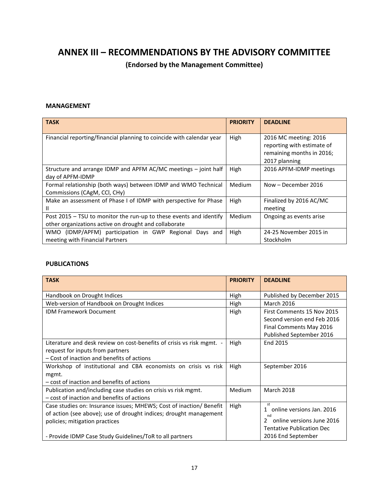### <span id="page-16-0"></span>**ANNEX III – RECOMMENDATIONS BY THE ADVISORY COMMITTEE**

**(Endorsed by the Management Committee)**

#### **MANAGEMENT**

| <b>TASK</b>                                                                                                                 | <b>PRIORITY</b> | <b>DEADLINE</b>                                                                  |
|-----------------------------------------------------------------------------------------------------------------------------|-----------------|----------------------------------------------------------------------------------|
| Financial reporting/financial planning to coincide with calendar year                                                       | High            | 2016 MC meeting: 2016<br>reporting with estimate of<br>remaining months in 2016; |
| Structure and arrange IDMP and APFM AC/MC meetings – joint half<br>day of APFM-IDMP                                         | High            | 2017 planning<br>2016 APFM-IDMP meetings                                         |
| Formal relationship (both ways) between IDMP and WMO Technical<br>Commissions (CAgM, CCI, CHy)                              | Medium          | Now - December 2016                                                              |
| Make an assessment of Phase I of IDMP with perspective for Phase<br>Ш                                                       | High            | Finalized by 2016 AC/MC<br>meeting                                               |
| Post 2015 - TSU to monitor the run-up to these events and identify<br>other organizations active on drought and collaborate | Medium          | Ongoing as events arise                                                          |
| WMO (IDMP/APFM) participation in GWP Regional<br>Days and<br>meeting with Financial Partners                                | High            | 24-25 November 2015 in<br>Stockholm                                              |

#### **PUBLICATIONS**

| <b>TASK</b>                                                         | <b>PRIORITY</b> | <b>DEADLINE</b>                                 |
|---------------------------------------------------------------------|-----------------|-------------------------------------------------|
| Handbook on Drought Indices                                         | High            | Published by December 2015                      |
| Web-version of Handbook on Drought Indices                          | High            | <b>March 2016</b>                               |
| <b>IDM Framework Document</b>                                       | High            | First Comments 15 Nov 2015                      |
|                                                                     |                 | Second version end Feb 2016                     |
|                                                                     |                 | Final Comments May 2016                         |
|                                                                     |                 | Published September 2016                        |
| Literature and desk review on cost-benefits of crisis vs risk mgmt. | High            | End 2015                                        |
| request for inputs from partners                                    |                 |                                                 |
| - Cost of inaction and benefits of actions                          |                 |                                                 |
| Workshop of institutional and CBA economists on crisis vs risk      | High            | September 2016                                  |
| mgmt.                                                               |                 |                                                 |
| - cost of inaction and benefits of actions                          |                 |                                                 |
| Publication and/including case studies on crisis vs risk mgmt.      | Medium          | March 2018                                      |
| - cost of inaction and benefits of actions                          |                 |                                                 |
| Case studies on: Insurance issues; MHEWS; Cost of inaction/ Benefit | High            | st<br>online versions Jan. 2016<br>$\mathbf{1}$ |
| of action (see above); use of drought indices; drought management   |                 | nd                                              |
| policies; mitigation practices                                      |                 | online versions June 2016<br>$\mathcal{P}$      |
|                                                                     |                 | <b>Tentative Publication Dec</b>                |
| - Provide IDMP Case Study Guidelines/ToR to all partners            |                 | 2016 End September                              |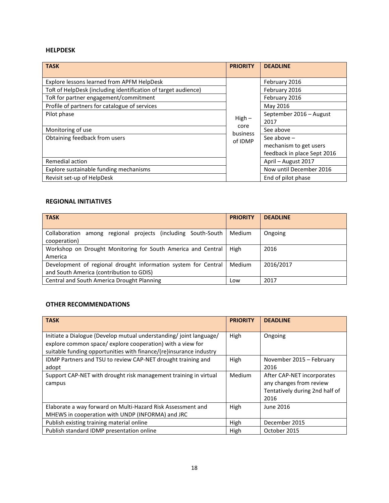#### **HELPDESK**

| <b>TASK</b>                                                   | <b>PRIORITY</b>  | <b>DEADLINE</b>             |
|---------------------------------------------------------------|------------------|-----------------------------|
| Explore lessons learned from APFM HelpDesk                    |                  | February 2016               |
| ToR of HelpDesk (including identification of target audience) |                  | February 2016               |
| ToR for partner engagement/commitment                         |                  | February 2016               |
| Profile of partners for catalogue of services                 |                  | May 2016                    |
| Pilot phase                                                   |                  | September 2016 - August     |
|                                                               | $High -$         | 2017                        |
| Monitoring of use                                             | core<br>business | See above                   |
| Obtaining feedback from users                                 | of IDMP          | See above $-$               |
|                                                               |                  | mechanism to get users      |
|                                                               |                  | feedback in place Sept 2016 |
| Remedial action                                               |                  | April - August 2017         |
| Explore sustainable funding mechanisms                        |                  | Now until December 2016     |
| Revisit set-up of HelpDesk                                    |                  | End of pilot phase          |

#### **REGIONAL INITIATIVES**

| <b>TASK</b>                                                                                                | <b>PRIORITY</b> | <b>DEADLINE</b> |
|------------------------------------------------------------------------------------------------------------|-----------------|-----------------|
| projects (including South-South<br>Collaboration<br>among regional<br>cooperation)                         | Medium          | Ongoing         |
| Workshop on Drought Monitoring for South America and Central<br>America                                    | High            | 2016            |
| Development of regional drought information system for Central<br>and South America (contribution to GDIS) | Medium          | 2016/2017       |
| Central and South America Drought Planning                                                                 | Low             | 2017            |

#### **OTHER RECOMMENDATIONS**

| <b>TASK</b>                                                                                                                                                                                          | <b>PRIORITY</b> | <b>DEADLINE</b>                                                                                 |
|------------------------------------------------------------------------------------------------------------------------------------------------------------------------------------------------------|-----------------|-------------------------------------------------------------------------------------------------|
| Initiate a Dialogue (Develop mutual understanding/joint language/<br>explore common space/explore cooperation) with a view for<br>suitable funding opportunities with finance/(re)insurance industry | High            | Ongoing                                                                                         |
| IDMP Partners and TSU to review CAP-NET drought training and<br>adopt                                                                                                                                | High            | November 2015 - February<br>2016                                                                |
| Support CAP-NET with drought risk management training in virtual<br>campus                                                                                                                           | Medium          | After CAP-NET incorporates<br>any changes from review<br>Tentatively during 2nd half of<br>2016 |
| Elaborate a way forward on Multi-Hazard Risk Assessment and<br>MHEWS in cooperation with UNDP (INFORMA) and JRC                                                                                      | High            | June 2016                                                                                       |
| Publish existing training material online                                                                                                                                                            | High            | December 2015                                                                                   |
| Publish standard IDMP presentation online                                                                                                                                                            | High            | October 2015                                                                                    |